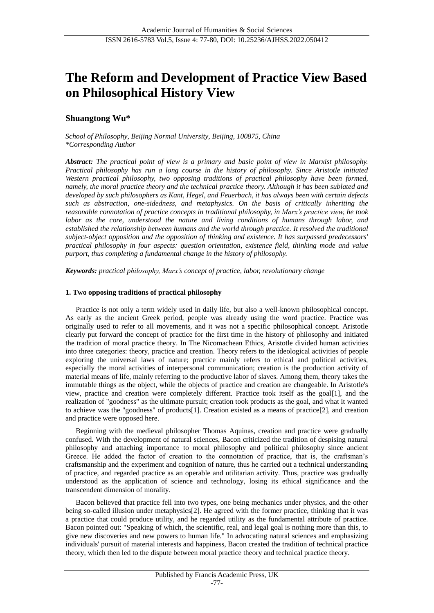# **The Reform and Development of Practice View Based on Philosophical History View**

# **Shuangtong Wu\***

*School of Philosophy, Beijing Normal University, Beijing, 100875, China \*Corresponding Author*

*Abstract: The practical point of view is a primary and basic point of view in Marxist philosophy. Practical philosophy has run a long course in the history of philosophy. Since Aristotle initiated Western practical philosophy, two opposing traditions of practical philosophy have been formed, namely, the moral practice theory and the technical practice theory. Although it has been sublated and developed by such philosophers as Kant, Hegel, and Feuerbach, it has always been with certain defects such as abstraction, one-sidedness, and metaphysics. On the basis of critically inheriting the reasonable connotation of practice concepts in traditional philosophy, in Marx's practice view, he took labor as the core, understood the nature and living conditions of humans through labor, and established the relationship between humans and the world through practice. It resolved the traditional subject-object opposition and the opposition of thinking and existence. It has surpassed predecessors' practical philosophy in four aspects: question orientation, existence field, thinking mode and value purport, thus completing a fundamental change in the history of philosophy.*

*Keywords: practical philosophy, Marx's concept of practice, labor, revolutionary change*

## **1. Two opposing traditions of practical philosophy**

Practice is not only a term widely used in daily life, but also a well-known philosophical concept. As early as the ancient Greek period, people was already using the word practice. Practice was originally used to refer to all movements, and it was not a specific philosophical concept. Aristotle clearly put forward the concept of practice for the first time in the history of philosophy and initiated the tradition of moral practice theory. In The Nicomachean Ethics, Aristotle divided human activities into three categories: theory, practice and creation. Theory refers to the ideological activities of people exploring the universal laws of nature; practice mainly refers to ethical and political activities, especially the moral activities of interpersonal communication; creation is the production activity of material means of life, mainly referring to the productive labor of slaves. Among them, theory takes the immutable things as the object, while the objects of practice and creation are changeable. In Aristotle's view, practice and creation were completely different. Practice took itself as the goal[1], and the realization of "goodness" as the ultimate pursuit; creation took products as the goal, and what it wanted to achieve was the "goodness" of products[1]. Creation existed as a means of practice[2], and creation and practice were opposed here.

Beginning with the medieval philosopher Thomas Aquinas, creation and practice were gradually confused. With the development of natural sciences, Bacon criticized the tradition of despising natural philosophy and attaching importance to moral philosophy and political philosophy since ancient Greece. He added the factor of creation to the connotation of practice, that is, the craftsman's craftsmanship and the experiment and cognition of nature, thus he carried out a technical understanding of practice, and regarded practice as an operable and utilitarian activity. Thus, practice was gradually understood as the application of science and technology, losing its ethical significance and the transcendent dimension of morality.

Bacon believed that practice fell into two types, one being mechanics under physics, and the other being so-called illusion under metaphysics[2]. He agreed with the former practice, thinking that it was a practice that could produce utility, and he regarded utility as the fundamental attribute of practice. Bacon pointed out: "Speaking of which, the scientific, real, and legal goal is nothing more than this, to give new discoveries and new powers to human life." In advocating natural sciences and emphasizing individuals' pursuit of material interests and happiness, Bacon created the tradition of technical practice theory, which then led to the dispute between moral practice theory and technical practice theory.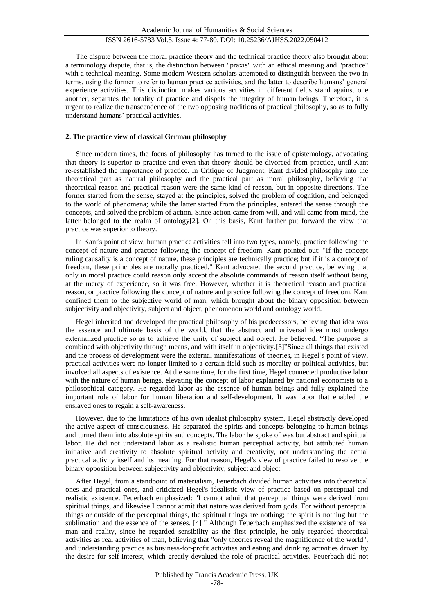# ISSN 2616-5783 Vol.5, Issue 4: 77-80, DOI: 10.25236/AJHSS.2022.050412

The dispute between the moral practice theory and the technical practice theory also brought about a terminology dispute, that is, the distinction between "praxis" with an ethical meaning and "practice" with a technical meaning. Some modern Western scholars attempted to distinguish between the two in terms, using the former to refer to human practice activities, and the latter to describe humans' general experience activities. This distinction makes various activities in different fields stand against one another, separates the totality of practice and dispels the integrity of human beings. Therefore, it is urgent to realize the transcendence of the two opposing traditions of practical philosophy, so as to fully understand humans' practical activities.

### **2. The practice view of classical German philosophy**

Since modern times, the focus of philosophy has turned to the issue of epistemology, advocating that theory is superior to practice and even that theory should be divorced from practice, until Kant re-established the importance of practice. In Critique of Judgment, Kant divided philosophy into the theoretical part as natural philosophy and the practical part as moral philosophy, believing that theoretical reason and practical reason were the same kind of reason, but in opposite directions. The former started from the sense, stayed at the principles, solved the problem of cognition, and belonged to the world of phenomena; while the latter started from the principles, entered the sense through the concepts, and solved the problem of action. Since action came from will, and will came from mind, the latter belonged to the realm of ontology $[2]$ . On this basis, Kant further put forward the view that practice was superior to theory.

In Kant's point of view, human practice activities fell into two types, namely, practice following the concept of nature and practice following the concept of freedom. Kant pointed out: "If the concept ruling causality is a concept of nature, these principles are technically practice; but if it is a concept of freedom, these principles are morally practiced." Kant advocated the second practice, believing that only in moral practice could reason only accept the absolute commands of reason itself without being at the mercy of experience, so it was free. However, whether it is theoretical reason and practical reason, or practice following the concept of nature and practice following the concept of freedom, Kant confined them to the subjective world of man, which brought about the binary opposition between subjectivity and objectivity, subject and object, phenomenon world and ontology world.

Hegel inherited and developed the practical philosophy of his predecessors, believing that idea was the essence and ultimate basis of the world, that the abstract and universal idea must undergo externalized practice so as to achieve the unity of subject and object. He believed: "The purpose is combined with objectivity through means, and with itself in objectivity.[3]"Since all things that existed and the process of development were the external manifestations of theories, in Hegel's point of view, practical activities were no longer limited to a certain field such as morality or political activities, but involved all aspects of existence. At the same time, for the first time, Hegel connected productive labor with the nature of human beings, elevating the concept of labor explained by national economists to a philosophical category. He regarded labor as the essence of human beings and fully explained the important role of labor for human liberation and self-development. It was labor that enabled the enslaved ones to regain a self-awareness.

However, due to the limitations of his own idealist philosophy system, Hegel abstractly developed the active aspect of consciousness. He separated the spirits and concepts belonging to human beings and turned them into absolute spirits and concepts. The labor he spoke of was but abstract and spiritual labor. He did not understand labor as a realistic human perceptual activity, but attributed human initiative and creativity to absolute spiritual activity and creativity, not understanding the actual practical activity itself and its meaning. For that reason, Hegel's view of practice failed to resolve the binary opposition between subjectivity and objectivity, subject and object.

After Hegel, from a standpoint of materialism, Feuerbach divided human activities into theoretical ones and practical ones, and criticized Hegel's idealistic view of practice based on perceptual and realistic existence. Feuerbach emphasized: "I cannot admit that perceptual things were derived from spiritual things, and likewise I cannot admit that nature was derived from gods. For without perceptual things or outside of the perceptual things, the spiritual things are nothing; the spirit is nothing but the sublimation and the essence of the senses. [4] " Although Feuerbach emphasized the existence of real man and reality, since he regarded sensibility as the first principle, he only regarded theoretical activities as real activities of man, believing that "only theories reveal the magnificence of the world", and understanding practice as business-for-profit activities and eating and drinking activities driven by the desire for self-interest, which greatly devalued the role of practical activities. Feuerbach did not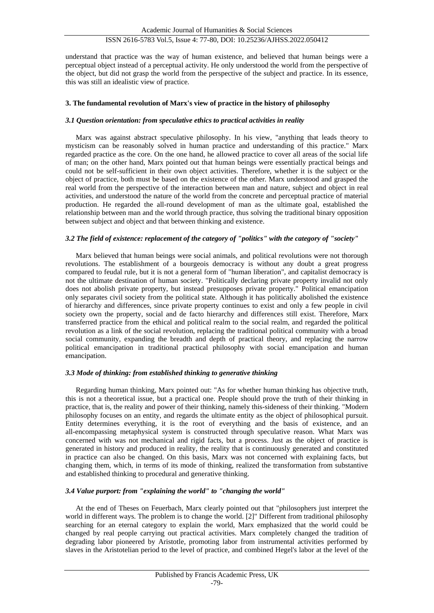understand that practice was the way of human existence, and believed that human beings were a perceptual object instead of a perceptual activity. He only understood the world from the perspective of the object, but did not grasp the world from the perspective of the subject and practice. In its essence, this was still an idealistic view of practice.

## **3. The fundamental revolution of Marx's view of practice in the history of philosophy**

### *3.1 Question orientation: from speculative ethics to practical activities in reality*

Marx was against abstract speculative philosophy. In his view, "anything that leads theory to mysticism can be reasonably solved in human practice and understanding of this practice." Marx regarded practice as the core. On the one hand, he allowed practice to cover all areas of the social life of man; on the other hand, Marx pointed out that human beings were essentially practical beings and could not be self-sufficient in their own object activities. Therefore, whether it is the subject or the object of practice, both must be based on the existence of the other. Marx understood and grasped the real world from the perspective of the interaction between man and nature, subject and object in real activities, and understood the nature of the world from the concrete and perceptual practice of material production. He regarded the all-round development of man as the ultimate goal, established the relationship between man and the world through practice, thus solving the traditional binary opposition between subject and object and that between thinking and existence.

## *3.2 The field of existence: replacement of the category of "politics" with the category of "society"*

Marx believed that human beings were social animals, and political revolutions were not thorough revolutions. The establishment of a bourgeois democracy is without any doubt a great progress compared to feudal rule, but it is not a general form of "human liberation", and capitalist democracy is not the ultimate destination of human society. "Politically declaring private property invalid not only does not abolish private property, but instead presupposes private property." Political emancipation only separates civil society from the political state. Although it has politically abolished the existence of hierarchy and differences, since private property continues to exist and only a few people in civil society own the property, social and de facto hierarchy and differences still exist. Therefore, Marx transferred practice from the ethical and political realm to the social realm, and regarded the political revolution as a link of the social revolution, replacing the traditional political community with a broad social community, expanding the breadth and depth of practical theory, and replacing the narrow political emancipation in traditional practical philosophy with social emancipation and human emancipation.

#### *3.3 Mode of thinking: from established thinking to generative thinking*

Regarding human thinking, Marx pointed out: "As for whether human thinking has objective truth, this is not a theoretical issue, but a practical one. People should prove the truth of their thinking in practice, that is, the reality and power of their thinking, namely this-sideness of their thinking. "Modern philosophy focuses on an entity, and regards the ultimate entity as the object of philosophical pursuit. Entity determines everything, it is the root of everything and the basis of existence, and an all-encompassing metaphysical system is constructed through speculative reason. What Marx was concerned with was not mechanical and rigid facts, but a process. Just as the object of practice is generated in history and produced in reality, the reality that is continuously generated and constituted in practice can also be changed. On this basis, Marx was not concerned with explaining facts, but changing them, which, in terms of its mode of thinking, realized the transformation from substantive and established thinking to procedural and generative thinking.

#### *3.4 Value purport: from "explaining the world" to "changing the world"*

At the end of Theses on Feuerbach, Marx clearly pointed out that "philosophers just interpret the world in different ways. The problem is to change the world. [2]" Different from traditional philosophy searching for an eternal category to explain the world, Marx emphasized that the world could be changed by real people carrying out practical activities. Marx completely changed the tradition of degrading labor pioneered by Aristotle, promoting labor from instrumental activities performed by slaves in the Aristotelian period to the level of practice, and combined Hegel's labor at the level of the